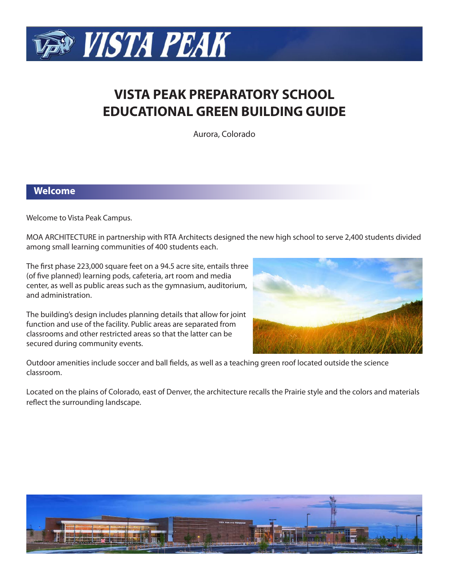

# **VISTA PEAK PREPARATORY SCHOOL EDUCATIONAL GREEN BUILDING GUIDE**

Aurora, Colorado

## **Welcome**

Welcome to Vista Peak Campus.

MOA ARCHITECTURE in partnership with RTA Architects designed the new high school to serve 2,400 students divided among small learning communities of 400 students each.

The first phase 223,000 square feet on a 94.5 acre site, entails three (of five planned) learning pods, cafeteria, art room and media center, as well as public areas such as the gymnasium, auditorium, and administration.

The building's design includes planning details that allow for joint function and use of the facility. Public areas are separated from classrooms and other restricted areas so that the latter can be secured during community events.



Outdoor amenities include soccer and ball fields, as well as a teaching green roof located outside the science classroom.

Located on the plains of Colorado, east of Denver, the architecture recalls the Prairie style and the colors and materials reflect the surrounding landscape.

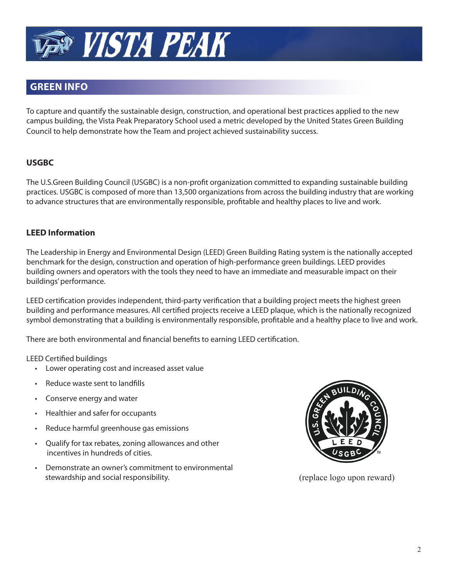

## **GREEN INFO**

To capture and quantify the sustainable design, construction, and operational best practices applied to the new campus building, the Vista Peak Preparatory School used a metric developed by the United States Green Building Council to help demonstrate how the Team and project achieved sustainability success.

## **USGBC**

The U.S.Green Building Council (USGBC) is a non-profit organization committed to expanding sustainable building practices. USGBC is composed of more than 13,500 organizations from across the building industry that are working to advance structures that are environmentally responsible, profitable and healthy places to live and work.

## **LEED Information**

The Leadership in Energy and Environmental Design (LEED) Green Building Rating system is the nationally accepted benchmark for the design, construction and operation of high-performance green buildings. LEED provides building owners and operators with the tools they need to have an immediate and measurable impact on their buildings' performance.

LEED certification provides independent, third-party verification that a building project meets the highest green building and performance measures. All certified projects receive a LEED plaque, which is the nationally recognized symbol demonstrating that a building is environmentally responsible, profitable and a healthy place to live and work.

There are both environmental and financial benefits to earning LEED certification.

## LEED Certified buildings

- Lower operating cost and increased asset value
- Reduce waste sent to landfills
- Conserve energy and water
- Healthier and safer for occupants
- Reduce harmful greenhouse gas emissions
- Qualify for tax rebates, zoning allowances and other incentives in hundreds of cities.
- Demonstrate an owner's commitment to environmental stewardship and social responsibility.



(replace logo upon reward)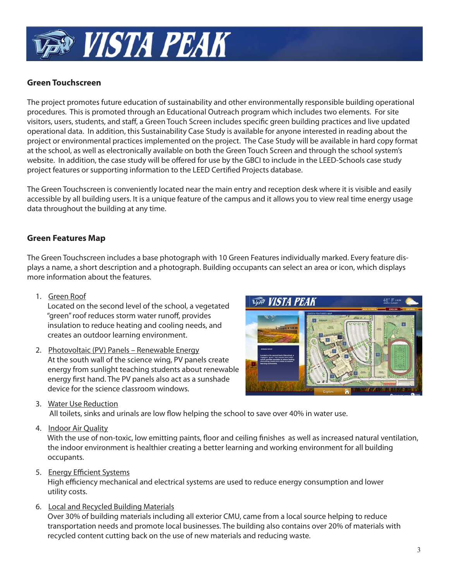

## **Green Touchscreen**

The project promotes future education of sustainability and other environmentally responsible building operational procedures. This is promoted through an Educational Outreach program which includes two elements. For site visitors, users, students, and staff, a Green Touch Screen includes specific green building practices and live updated operational data. In addition, this Sustainability Case Study is available for anyone interested in reading about the project or environmental practices implemented on the project. The Case Study will be available in hard copy format at the school, as well as electronically available on both the Green Touch Screen and through the school system's website. In addition, the case study will be offered for use by the GBCI to include in the LEED-Schools case study project features or supporting information to the LEED Certified Projects database.

The Green Touchscreen is conveniently located near the main entry and reception desk where it is visible and easily accessible by all building users. It is a unique feature of the campus and it allows you to view real time energy usage data throughout the building at any time.

## **Green Features Map**

The Green Touchscreen includes a base photograph with 10 Green Features individually marked. Every feature displays a name, a short description and a photograph. Building occupants can select an area or icon, which displays more information about the features.

1. Green Roof

 Located on the second level of the school, a vegetated "green" roof reduces storm water runoff, provides insulation to reduce heating and cooling needs, and creates an outdoor learning environment.

 2. Photovoltaic (PV) Panels – Renewable Energy At the south wall of the science wing, PV panels create energy from sunlight teaching students about renewable energy first hand. The PV panels also act as a sunshade device for the science classroom windows.



3. Water Use Reduction

All toilets, sinks and urinals are low flow helping the school to save over 40% in water use.

4. Indoor Air Quality

With the use of non-toxic, low emitting paints, floor and ceiling finishes as well as increased natural ventilation, the indoor environment is healthier creating a better learning and working environment for all building occupants.

5. Energy Efficient Systems

High efficiency mechanical and electrical systems are used to reduce energy consumption and lower utility costs.

6. Local and Recycled Building Materials

 Over 30% of building materials including all exterior CMU, came from a local source helping to reduce transportation needs and promote local businesses. The building also contains over 20% of materials with recycled content cutting back on the use of new materials and reducing waste.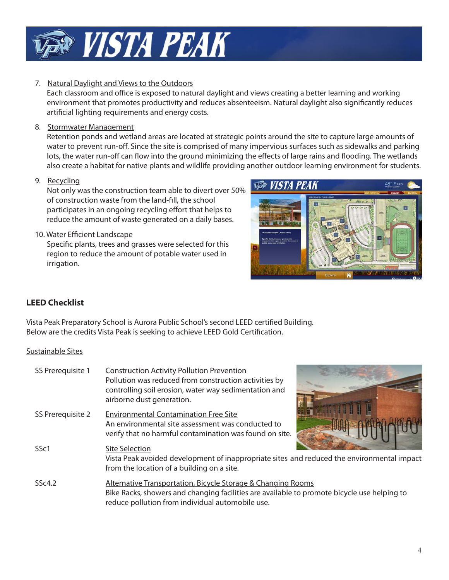

## 7. Natural Daylight and Views to the Outdoors

Each classroom and office is exposed to natural daylight and views creating a better learning and working environment that promotes productivity and reduces absenteeism. Natural daylight also significantly reduces artificial lighting requirements and energy costs.

8. Stormwater Management

 Retention ponds and wetland areas are located at strategic points around the site to capture large amounts of water to prevent run-off. Since the site is comprised of many impervious surfaces such as sidewalks and parking lots, the water run-off can flow into the ground minimizing the effects of large rains and flooding. The wetlands also create a habitat for native plants and wildlife providing another outdoor learning environment for students.

9. Recycling

 Not only was the construction team able to divert over 50% of construction waste from the land-fill, the school participates in an ongoing recycling effort that helps to reduce the amount of waste generated on a daily bases.

## 10. Water Efficient Landscape

Specific plants, trees and grasses were selected for this region to reduce the amount of potable water used in irrigation.

**VAR VISTA PEAK** 

## **LEED Checklist**

Vista Peak Preparatory School is Aurora Public School's second LEED certified Building. Below are the credits Vista Peak is seeking to achieve LEED Gold Certification.

## Sustainable Sites

| SS Prerequisite 1 | <b>Construction Activity Pollution Prevention</b><br>Pollution was reduced from construction activities by<br>controlling soil erosion, water way sedimentation and<br>airborne dust generation.                |
|-------------------|-----------------------------------------------------------------------------------------------------------------------------------------------------------------------------------------------------------------|
| SS Prerequisite 2 | <b>Environmental Contamination Free Site</b><br>An environmental site assessment was conducted to<br>verify that no harmful contamination was found on site.                                                    |
| SS <sub>c1</sub>  | <b>Site Selection</b><br>Vista Peak avoided development of inappropriate sites and reduced the environmental impact<br>from the location of a building on a site.                                               |
| SSc4.2            | Alternative Transportation, Bicycle Storage & Changing Rooms<br>Bike Racks, showers and changing facilities are available to promote bicycle use helping to<br>reduce pollution from individual automobile use. |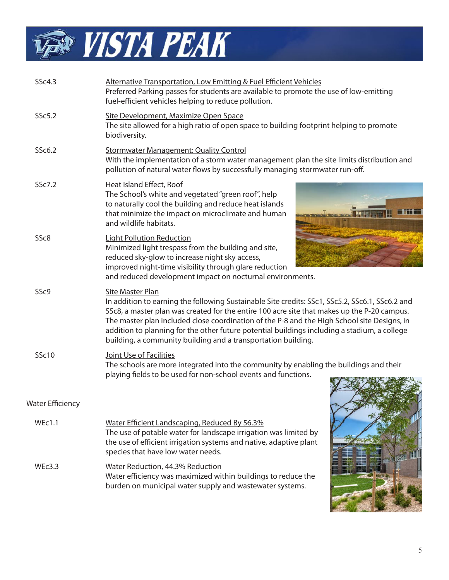

| SSc4.3                  | Alternative Transportation, Low Emitting & Fuel Efficient Vehicles<br>Preferred Parking passes for students are available to promote the use of low-emitting<br>fuel-efficient vehicles helping to reduce pollution.                                                                                                                                                                                                                                                               |  |
|-------------------------|------------------------------------------------------------------------------------------------------------------------------------------------------------------------------------------------------------------------------------------------------------------------------------------------------------------------------------------------------------------------------------------------------------------------------------------------------------------------------------|--|
| SSc5.2                  | Site Development, Maximize Open Space<br>The site allowed for a high ratio of open space to building footprint helping to promote<br>biodiversity.                                                                                                                                                                                                                                                                                                                                 |  |
| SSc6.2                  | <b>Stormwater Management: Quality Control</b><br>With the implementation of a storm water management plan the site limits distribution and<br>pollution of natural water flows by successfully managing stormwater run-off.                                                                                                                                                                                                                                                        |  |
| SSc7.2                  | Heat Island Effect, Roof<br>The School's white and vegetated "green roof", help<br>to naturally cool the building and reduce heat islands<br>that minimize the impact on microclimate and human<br>and wildlife habitats.                                                                                                                                                                                                                                                          |  |
| SSc8                    | <b>Light Pollution Reduction</b><br>Minimized light trespass from the building and site,<br>reduced sky-glow to increase night sky access,<br>improved night-time visibility through glare reduction<br>and reduced development impact on nocturnal environments.                                                                                                                                                                                                                  |  |
| SSc9                    | Site Master Plan<br>In addition to earning the following Sustainable Site credits: SSc1, SSc5.2, SSc6.1, SSc6.2 and<br>SSc8, a master plan was created for the entire 100 acre site that makes up the P-20 campus.<br>The master plan included close coordination of the P-8 and the High School site Designs, in<br>addition to planning for the other future potential buildings including a stadium, a college<br>building, a community building and a transportation building. |  |
| <b>SSc10</b>            | Joint Use of Facilities<br>The schools are more integrated into the community by enabling the buildings and their<br>playing fields to be used for non-school events and functions.                                                                                                                                                                                                                                                                                                |  |
| <b>Water Efficiency</b> |                                                                                                                                                                                                                                                                                                                                                                                                                                                                                    |  |
| <b>WEc1.1</b>           | Water Efficient Landscaping, Reduced By 56.3%<br>The use of potable water for landscape irrigation was limited by<br>the use of efficient irrigation systems and native, adaptive plant<br>species that have low water needs.                                                                                                                                                                                                                                                      |  |
| WEc3.3                  | Water Reduction, 44.3% Reduction<br>Water efficiency was maximized within buildings to reduce the<br>burden on municipal water supply and wastewater systems.                                                                                                                                                                                                                                                                                                                      |  |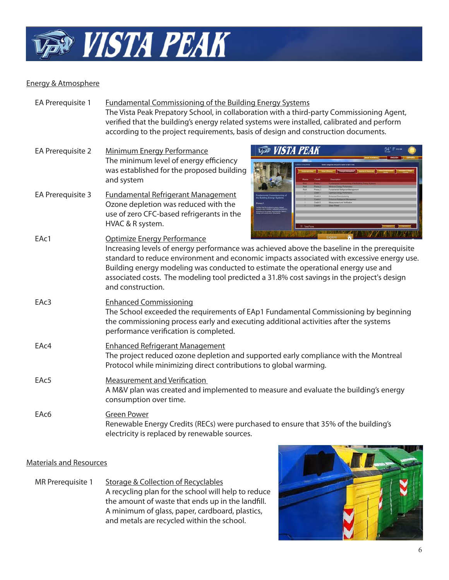

## Energy & Atmosphere

| EA Prerequisite 1 | Fundamental Commissioning of the Building Energy Systems                                   |
|-------------------|--------------------------------------------------------------------------------------------|
|                   | The Vista Peak Prepatory School, in collaboration with a third-party Commissioning Agent,  |
|                   | verified that the building's energy related systems were installed, calibrated and perform |
|                   | according to the project requirements, basis of design and construction documents.         |

- EA Prerequisite 2 Minimum Energy Performance The minimum level of energy efficiency was established for the proposed building and system
- EA Prerequisite 3 Fundamental Refrigerant Management Ozone depletion was reduced with the use of zero CFC-based refrigerants in the HVAC & R system.



| EAc1 | Explore $\wedge$ Henry Manufacturing $\wedge$ in<br>Optimize Energy Performance<br>Increasing levels of energy performance was achieved above the baseline in the prerequisite<br>standard to reduce environment and economic impacts associated with excessive energy use.<br>Building energy modeling was conducted to estimate the operational energy use and<br>associated costs. The modeling tool predicted a 31.8% cost savings in the project's design<br>and construction. |
|------|-------------------------------------------------------------------------------------------------------------------------------------------------------------------------------------------------------------------------------------------------------------------------------------------------------------------------------------------------------------------------------------------------------------------------------------------------------------------------------------|
| EAc3 | <b>Enhanced Commissioning</b><br>The School exceeded the requirements of EAp1 Fundamental Commissioning by beginning<br>the commissioning process early and executing additional activities after the systems<br>performance verification is completed.                                                                                                                                                                                                                             |
| EAc4 | <b>Enhanced Refrigerant Management</b><br>The project reduced ozone depletion and supported early compliance with the Montreal<br>Protocol while minimizing direct contributions to global warming.                                                                                                                                                                                                                                                                                 |
| EAc5 | <b>Measurement and Verification</b><br>A M&V plan was created and implemented to measure and evaluate the building's energy<br>consumption over time.                                                                                                                                                                                                                                                                                                                               |
| EAc6 | <b>Green Power</b><br>Renewable Energy Credits (RECs) were purchased to ensure that 35% of the building's<br>electricity is replaced by renewable sources.                                                                                                                                                                                                                                                                                                                          |

## Materials and Resources

MR Prerequisite 1 Storage & Collection of Recyclables A recycling plan for the school will help to reduce the amount of waste that ends up in the landfill. A minimum of glass, paper, cardboard, plastics, and metals are recycled within the school.

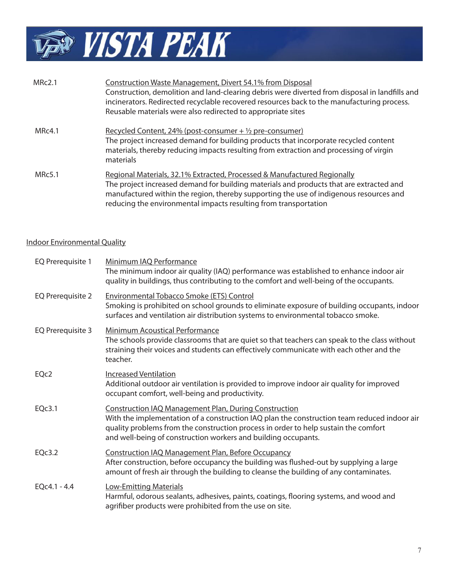

| MRc2.1        | <b>Construction Waste Management, Divert 54.1% from Disposal</b><br>Construction, demolition and land-clearing debris were diverted from disposal in landfills and<br>incinerators. Redirected recyclable recovered resources back to the manufacturing process.<br>Reusable materials were also redirected to appropriate sites  |
|---------------|-----------------------------------------------------------------------------------------------------------------------------------------------------------------------------------------------------------------------------------------------------------------------------------------------------------------------------------|
| MRc4.1        | Recycled Content, 24% (post-consumer $+$ 1/2 pre-consumer)<br>The project increased demand for building products that incorporate recycled content<br>materials, thereby reducing impacts resulting from extraction and processing of virgin<br>materials                                                                         |
| <b>MRc5.1</b> | Regional Materials, 32.1% Extracted, Processed & Manufactured Regionally<br>The project increased demand for building materials and products that are extracted and<br>manufactured within the region, thereby supporting the use of indigenous resources and<br>reducing the environmental impacts resulting from transportation |

## Indoor Environmental Quality

| <b>EQ Prerequisite 1</b> | Minimum IAQ Performance<br>The minimum indoor air quality (IAQ) performance was established to enhance indoor air<br>quality in buildings, thus contributing to the comfort and well-being of the occupants.                                                                                                         |
|--------------------------|----------------------------------------------------------------------------------------------------------------------------------------------------------------------------------------------------------------------------------------------------------------------------------------------------------------------|
| EQ Prerequisite 2        | <b>Environmental Tobacco Smoke (ETS) Control</b><br>Smoking is prohibited on school grounds to eliminate exposure of building occupants, indoor<br>surfaces and ventilation air distribution systems to environmental tobacco smoke.                                                                                 |
| EQ Prerequisite 3        | <b>Minimum Acoustical Performance</b><br>The schools provide classrooms that are quiet so that teachers can speak to the class without<br>straining their voices and students can effectively communicate with each other and the<br>teacher.                                                                        |
| EQc2                     | <b>Increased Ventilation</b><br>Additional outdoor air ventilation is provided to improve indoor air quality for improved<br>occupant comfort, well-being and productivity.                                                                                                                                          |
| EQc3.1                   | <b>Construction IAQ Management Plan, During Construction</b><br>With the implementation of a construction IAQ plan the construction team reduced indoor air<br>quality problems from the construction process in order to help sustain the comfort<br>and well-being of construction workers and building occupants. |
| EQc3.2                   | Construction IAQ Management Plan, Before Occupancy<br>After construction, before occupancy the building was flushed-out by supplying a large<br>amount of fresh air through the building to cleanse the building of any contaminates.                                                                                |
| $EQc4.1 - 4.4$           | <b>Low-Emitting Materials</b><br>Harmful, odorous sealants, adhesives, paints, coatings, flooring systems, and wood and<br>agrifiber products were prohibited from the use on site.                                                                                                                                  |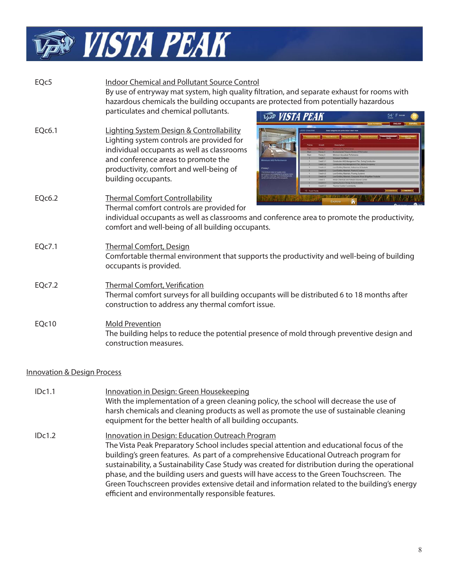

| EQc5                                   | <b>Indoor Chemical and Pollutant Source Control</b><br>By use of entryway mat system, high quality filtration, and separate exhaust for rooms with<br>hazardous chemicals the building occupants are protected from potentially hazardous<br>particulates and chemical pollutants. |  |
|----------------------------------------|------------------------------------------------------------------------------------------------------------------------------------------------------------------------------------------------------------------------------------------------------------------------------------|--|
| EQc6.1                                 | <b>VISTA PEAK</b><br><b>Lighting System Design &amp; Controllability</b><br>Lighting system controls are provided for<br>individual occupants as well as classrooms<br>and conference areas to promote the<br>productivity, comfort and well-being of<br>building occupants.       |  |
| EQc6.2                                 | 33 Total Pr<br><b>Thermal Comfort Controllability</b><br>Thermal comfort controls are provided for<br>individual occupants as well as classrooms and conference area to promote the productivity,<br>comfort and well-being of all building occupants.                             |  |
| EQc7.1                                 | <b>Thermal Comfort, Design</b><br>Comfortable thermal environment that supports the productivity and well-being of building<br>occupants is provided.                                                                                                                              |  |
| <b>EQc7.2</b>                          | <b>Thermal Comfort, Verification</b><br>Thermal comfort surveys for all building occupants will be distributed 6 to 18 months after<br>construction to address any thermal comfort issue.                                                                                          |  |
| EQc10                                  | <b>Mold Prevention</b><br>The building helps to reduce the potential presence of mold through preventive design and<br>construction measures.                                                                                                                                      |  |
| <b>Innovation &amp; Design Process</b> |                                                                                                                                                                                                                                                                                    |  |

 IDc1.1 Innovation in Design: Green Housekeeping With the implementation of a green cleaning policy, the school will decrease the use of harsh chemicals and cleaning products as well as promote the use of sustainable cleaning equipment for the better health of all building occupants. IDc1.2 Innovation in Design: Education Outreach Program The Vista Peak Preparatory School includes special attention and educational focus of the building's green features. As part of a comprehensive Educational Outreach program for sustainability, a Sustainability Case Study was created for distribution during the operational phase, and the building users and guests will have access to the Green Touchscreen. The Green Touchscreen provides extensive detail and information related to the building's energy efficient and environmentally responsible features.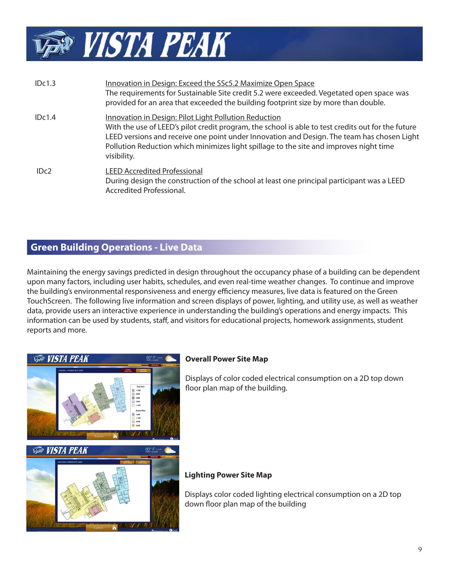

| IDc1.3 | Innovation in Design: Exceed the SSc5.2 Maximize Open Space<br>The requirements for Sustainable Site credit 5.2 were exceeded. Vegetated open space was<br>provided for an area that exceeded the building footprint size by more than double.                                                                                                                     |
|--------|--------------------------------------------------------------------------------------------------------------------------------------------------------------------------------------------------------------------------------------------------------------------------------------------------------------------------------------------------------------------|
| IDc1.4 | Innovation in Design: Pilot Light Pollution Reduction<br>With the use of LEED's pilot credit program, the school is able to test credits out for the future<br>LEED versions and receive one point under Innovation and Design. The team has chosen Light<br>Pollution Reduction which minimizes light spillage to the site and improves night time<br>visibility. |
| IDc2   | <b>LEED Accredited Professional</b><br>During design the construction of the school at least one principal participant was a LEED<br>Accredited Professional.                                                                                                                                                                                                      |

## **Green Building Operations - Live Data**

Maintaining the energy savings predicted in design throughout the occupancy phase of a building can be dependent upon many factors, including user habits, schedules, and even real-time weather changes. To continue and improve the building's environmental responsiveness and energy efficiency measures, live data is featured on the Green TouchScreen. The following live information and screen displays of power, lighting, and utility use, as well as weather data, provide users an interactive experience in understanding the building's operations and energy impacts. This information can be used by students, staff, and visitors for educational projects, homework assignments, student reports and more.



Displays of color coded electrical consumption on a 2D top down floor plan map of the building.

## **Lighting Power Site Map**

Displays color coded lighting electrical consumption on a 2D top down floor plan map of the building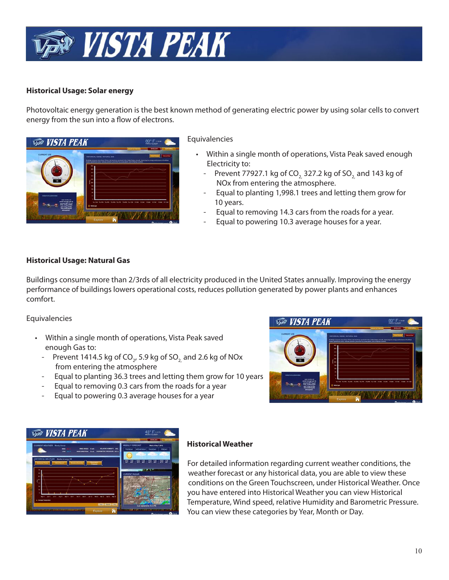

## **Historical Usage: Solar energy**

Photovoltaic energy generation is the best known method of generating electric power by using solar cells to convert energy from the sun into a flow of electrons.



#### Equivalencies

- Within a single month of operations, Vista Peak saved enough Electricity to:
	- Prevent 77927.1 kg of CO<sub>2</sub> 327.2 kg of SO<sub>2</sub> and 143 kg of NOx from entering the atmosphere.
	- Equal to planting 1,998.1 trees and letting them grow for 10 years.
	- Equal to removing 14.3 cars from the roads for a year.
	- Equal to powering 10.3 average houses for a year.

## **Historical Usage: Natural Gas**

Buildings consume more than 2/3rds of all electricity produced in the United States annually. Improving the energy performance of buildings lowers operational costs, reduces pollution generated by power plants and enhances comfort.

#### Equivalencies

- Within a single month of operations, Vista Peak saved enough Gas to:
- Prevent 1414.5 kg of CO<sub>2</sub>, 5.9 kg of SO<sub>2,</sub> and 2.6 kg of NOx from entering the atmosphere
	- Equal to planting 36.3 trees and letting them grow for 10 years
	- Equal to removing 0.3 cars from the roads for a year
	- Equal to powering 0.3 average houses for a year





## **Historical Weather**

 For detailed information regarding current weather conditions, the weather forecast or any historical data, you are able to view these conditions on the Green Touchscreen, under Historical Weather. Once you have entered into Historical Weather you can view Historical Temperature, Wind speed, relative Humidity and Barometric Pressure. You can view these categories by Year, Month or Day.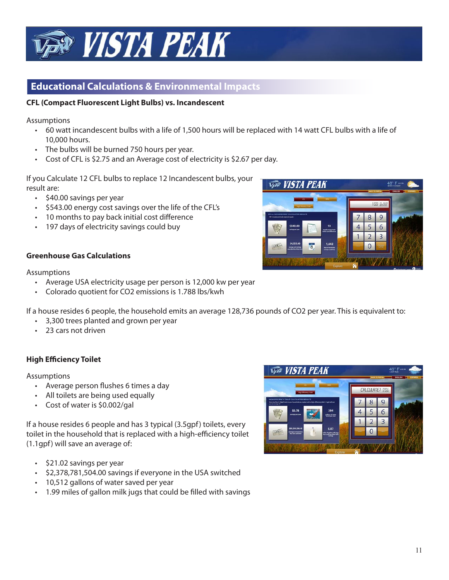

## **Educational Calculations & Environmental Impacts**

## **CFL (Compact Fluorescent Light Bulbs) vs. Incandescent**

Assumptions

- 60 watt incandescent bulbs with a life of 1,500 hours will be replaced with 14 watt CFL bulbs with a life of 10,000 hours.
- The bulbs will be burned 750 hours per year.
- Cost of CFL is \$2.75 and an Average cost of electricity is \$2.67 per day.

If you Calculate 12 CFL bulbs to replace 12 Incandescent bulbs, your result are:

- \$40.00 savings per year
- \$543.00 energy cost savings over the life of the CFL's
- 10 months to pay back initial cost difference
- 197 days of electricity savings could buy



#### Assumptions

- Average USA electricity usage per person is 12,000 kw per year
- Colorado quotient for CO2 emissions is 1.788 lbs/kwh

If a house resides 6 people, the household emits an average 128,736 pounds of CO2 per year. This is equivalent to:

- 3,300 trees planted and grown per year
- 23 cars not driven

## **High Efficiency Toilet**

Assumptions

- Average person flushes 6 times a day
- All toilets are being used equally
- Cost of water is \$0.002/gal

If a house resides 6 people and has 3 typical (3.5gpf) toilets, every toilet in the household that is replaced with a high-efficiency toilet (1.1gpf) will save an average of:

- \$21.02 savings per year
- \$2,378,781,504.00 savings if everyone in the USA switched
- 10,512 gallons of water saved per year
- 1.99 miles of gallon milk jugs that could be filled with savings